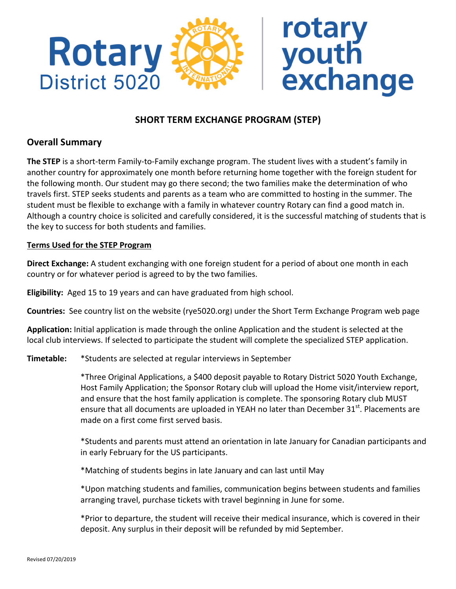

# **SHORT TERM EXCHANGE PROGRAM (STEP)**

# **Overall Summary**

**The STEP** is a short-term Family-to-Family exchange program. The student lives with a student's family in another country for approximately one month before returning home together with the foreign student for the following month. Our student may go there second; the two families make the determination of who travels first. STEP seeks students and parents as a team who are committed to hosting in the summer. The student must be flexible to exchange with a family in whatever country Rotary can find a good match in. Although a country choice is solicited and carefully considered, it is the successful matching of students that is the key to success for both students and families.

#### **Terms Used for the STEP Program**

**Direct Exchange:** A student exchanging with one foreign student for a period of about one month in each country or for whatever period is agreed to by the two families.

**Eligibility:** Aged 15 to 19 years and can have graduated from high school.

**Countries:** See country list on the website [\(rye5020.org\)](rye5020.org) under the Short Term Exchange Program web page

**Application:** Initial application is made through the online Application and the student is selected at the local club interviews. If selected to participate the student will complete the specialized STEP application.

**Timetable:** \*Students are selected at regular interviews in September

\*Three Original Applications, a \$400 deposit payable to Rotary District 5020 Youth Exchange, Host Family Application; the Sponsor Rotary club will upload the Home visit/interview report, and ensure that the host family application is complete. The sponsoring Rotary club MUST ensure that all documents are uploaded in YEAH no later than December 31 $^{\text{st}}$ . Placements are made on a first come first served basis.

\*Students and parents must attend an orientation in late January for Canadian participants and in early February for the US participants.

\*Matching of students begins in late January and can last until May

\*Upon matching students and families, communication begins between students and families arranging travel, purchase tickets with travel beginning in June for some.

\*Prior to departure, the student will receive their medical insurance, which is covered in their deposit. Any surplus in their deposit will be refunded by mid September.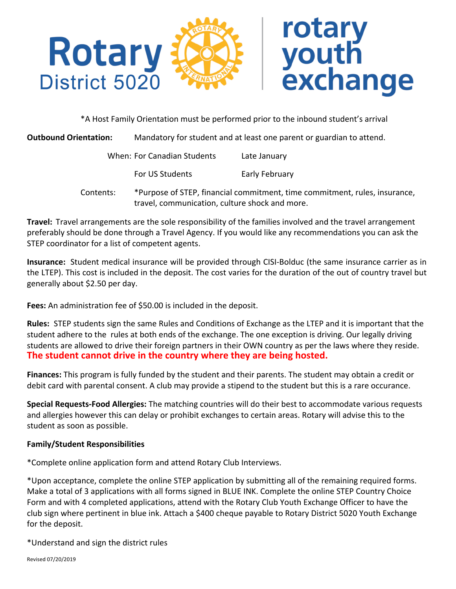

\*A Host Family Orientation must be performed prior to the inbound student's arrival

**Outbound Orientation:** Mandatory for student and at least one parent or guardian to attend.

| When: For Canadian Students | Late January   |
|-----------------------------|----------------|
| <b>For US Students</b>      | Early February |

Contents: \*Purpose of STEP, financial commitment, time commitment, rules, insurance, travel, communication, culture shock and more.

**Travel:** Travel arrangements are the sole responsibility of the families involved and the travel arrangement preferably should be done through a Travel Agency. If you would like any recommendations you can ask the STEP coordinator for a list of competent agents.

**Insurance:** Student medical insurance will be provided through CISI-Bolduc (the same insurance carrier as in the LTEP). This cost is included in the deposit. The cost varies for the duration of the out of country travel but generally about \$2.50 per day.

**Fees:** An administration fee of \$50.00 is included in the deposit.

**Rules:** STEP students sign the same Rules and Conditions of Exchange as the LTEP and it is important that the student adhere to the rules at both ends of the exchange. The one exception is driving. Our legally driving students are allowed to drive their foreign partners in their OWN country as per the laws where they reside. **The student cannot drive in the country where they are being hosted.** 

**Finances:** This program is fully funded by the student and their parents. The student may obtain a credit or debit card with parental consent. A club may provide a stipend to the student but this is a rare occurance.

**Special Requests-Food Allergies:** The matching countries will do their best to accommodate various requests and allergies however this can delay or prohibit exchanges to certain areas. Rotary will advise this to the student as soon as possible.

### **Family/Student Responsibilities**

\*Complete online application form and attend Rotary Club Interviews.

\*Upon acceptance, complete the online STEP application by submitting all of the remaining required forms. Make a total of 3 applications with all forms signed in BLUE INK. Complete the online STEP Country Choice Form and with 4 completed applications, attend with the Rotary Club Youth Exchange Officer to have the club sign where pertinent in blue ink. Attach a \$400 cheque payable to Rotary District 5020 Youth Exchange for the deposit.

\*Understand and sign the district rules